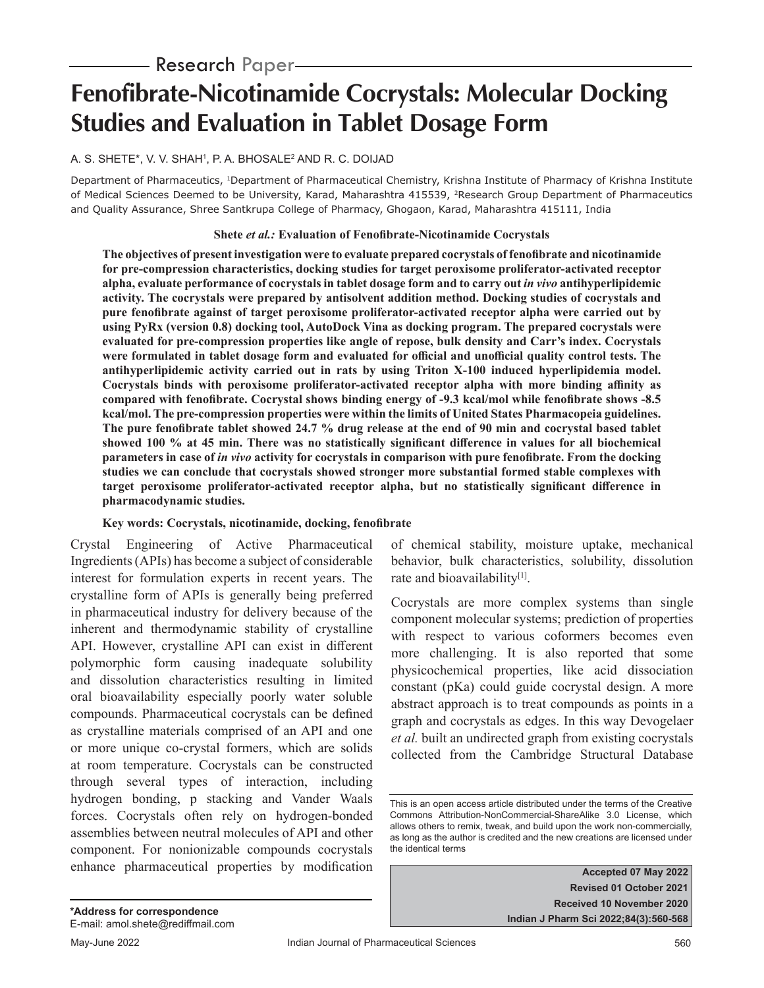# - **Research** Paper-

# **Fenofibrate-Nicotinamide Cocrystals: Molecular Docking Studies and Evaluation in Tablet Dosage Form**

# A. S. SHETE\*, V. V. SHAH1, P. A. BHOSALE<del>'</del> AND R. C. DOIJAD

Department of Pharmaceutics, 1Department of Pharmaceutical Chemistry, Krishna Institute of Pharmacy of Krishna Institute of Medical Sciences Deemed to be University, Karad, Maharashtra 415539, <sup>2</sup>Research Group Department of Pharmaceutics and Quality Assurance, Shree Santkrupa College of Pharmacy, Ghogaon, Karad, Maharashtra 415111, India

#### **Shete** *et al.:* **Evaluation of Fenofibrate-Nicotinamide Cocrystals**

**The objectives of present investigation were to evaluate prepared cocrystals of fenofibrate and nicotinamide for pre-compression characteristics, docking studies for target peroxisome proliferator-activated receptor alpha, evaluate performance of cocrystals in tablet dosage form and to carry out** *in vivo* **antihyperlipidemic activity. The cocrystals were prepared by antisolvent addition method. Docking studies of cocrystals and pure fenofibrate against of target peroxisome proliferator-activated receptor alpha were carried out by using PyRx (version 0.8) docking tool, AutoDock Vina as docking program. The prepared cocrystals were evaluated for pre-compression properties like angle of repose, bulk density and Carr's index. Cocrystals were formulated in tablet dosage form and evaluated for official and unofficial quality control tests. The antihyperlipidemic activity carried out in rats by using Triton X-100 induced hyperlipidemia model. Cocrystals binds with peroxisome proliferator-activated receptor alpha with more binding affinity as compared with fenofibrate. Cocrystal shows binding energy of -9.3 kcal/mol while fenofibrate shows -8.5 kcal/mol. The pre-compression properties were within the limits of United States Pharmacopeia guidelines. The pure fenofibrate tablet showed 24.7 % drug release at the end of 90 min and cocrystal based tablet showed 100 % at 45 min. There was no statistically significant difference in values for all biochemical parameters in case of** *in vivo* **activity for cocrystals in comparison with pure fenofibrate. From the docking studies we can conclude that cocrystals showed stronger more substantial formed stable complexes with target peroxisome proliferator-activated receptor alpha, but no statistically significant difference in pharmacodynamic studies.**

# **Key words: Cocrystals, nicotinamide, docking, fenofibrate**

Crystal Engineering of Active Pharmaceutical Ingredients (APIs) has become a subject of considerable interest for formulation experts in recent years. The crystalline form of APIs is generally being preferred in pharmaceutical industry for delivery because of the inherent and thermodynamic stability of crystalline API. However, crystalline API can exist in different polymorphic form causing inadequate solubility and dissolution characteristics resulting in limited oral bioavailability especially poorly water soluble compounds. Pharmaceutical cocrystals can be defined as crystalline materials comprised of an API and one or more unique co-crystal formers, which are solids at room temperature. Cocrystals can be constructed through several types of interaction, including hydrogen bonding, p stacking and Vander Waals forces. Cocrystals often rely on hydrogen-bonded assemblies between neutral molecules of API and other component. For nonionizable compounds cocrystals enhance pharmaceutical properties by modification

of chemical stability, moisture uptake, mechanical behavior, bulk characteristics, solubility, dissolution rate and bioavailability<sup>[1]</sup>.

Cocrystals are more complex systems than single component molecular systems; prediction of properties with respect to various coformers becomes even more challenging. It is also reported that some physicochemical properties, like acid dissociation constant (pKa) could guide cocrystal design. A more abstract approach is to treat compounds as points in a graph and cocrystals as edges. In this way Devogelaer *et al.* built an undirected graph from existing cocrystals collected from the Cambridge Structural Database

This is an open access article distributed under the terms of the Creative Commons Attribution-NonCommercial-ShareAlike 3.0 License, which allows others to remix, tweak, and build upon the work non-commercially, as long as the author is credited and the new creations are licensed under the identical terms

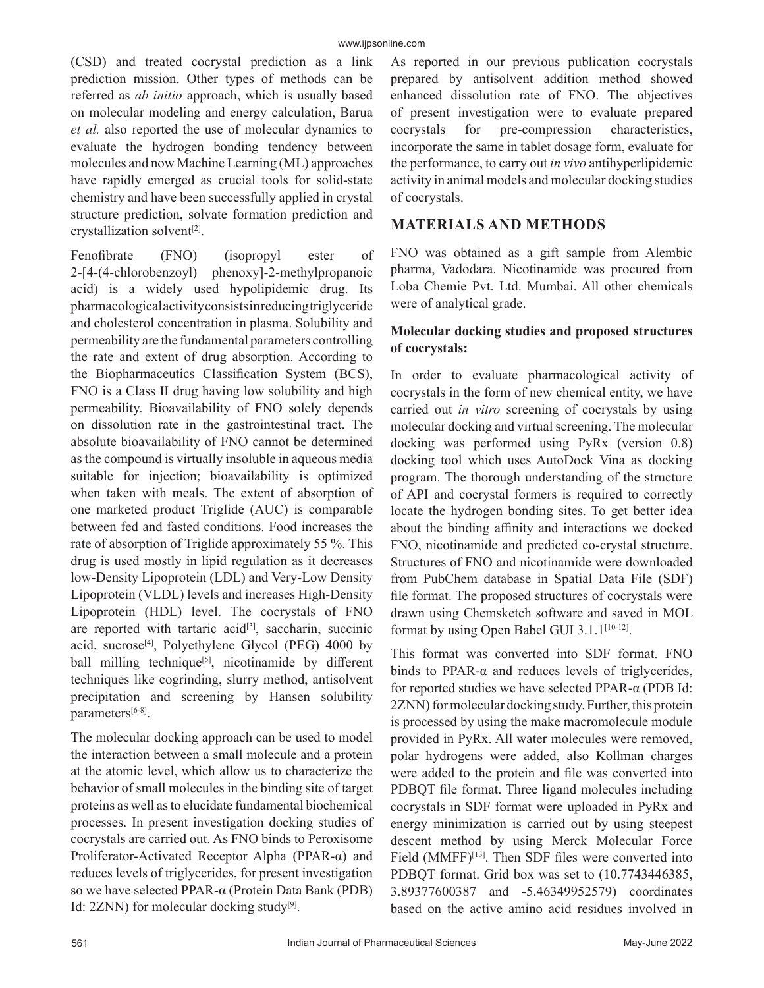(CSD) and treated cocrystal prediction as a link prediction mission. Other types of methods can be referred as *ab initio* approach, which is usually based on molecular modeling and energy calculation, Barua *et al.* also reported the use of molecular dynamics to evaluate the hydrogen bonding tendency between molecules and now Machine Learning (ML) approaches have rapidly emerged as crucial tools for solid-state chemistry and have been successfully applied in crystal structure prediction, solvate formation prediction and crystallization solvent[2].

Fenofibrate (FNO) (isopropyl ester of 2-[4-(4-chlorobenzoyl) phenoxy]-2-methylpropanoic acid) is a widely used hypolipidemic drug. Its pharmacological activity consists in reducing triglyceride and cholesterol concentration in plasma. Solubility and permeability are the fundamental parameters controlling the rate and extent of drug absorption. According to the Biopharmaceutics Classification System (BCS), FNO is a Class II drug having low solubility and high permeability. Bioavailability of FNO solely depends on dissolution rate in the gastrointestinal tract. The absolute bioavailability of FNO cannot be determined as the compound is virtually insoluble in aqueous media suitable for injection; bioavailability is optimized when taken with meals. The extent of absorption of one marketed product Triglide (AUC) is comparable between fed and fasted conditions. Food increases the rate of absorption of Triglide approximately 55 %. This drug is used mostly in lipid regulation as it decreases low-Density Lipoprotein (LDL) and Very-Low Density Lipoprotein (VLDL) levels and increases High-Density Lipoprotein (HDL) level. The cocrystals of FNO are reported with tartaric acid $[3]$ , saccharin, succinic acid, sucrose<sup>[4]</sup>, Polyethylene Glycol (PEG)  $4000$  by ball milling technique<sup>[5]</sup>, nicotinamide by different techniques like cogrinding, slurry method, antisolvent precipitation and screening by Hansen solubility parameters[6-8].

The molecular docking approach can be used to model the interaction between a small molecule and a protein at the atomic level, which allow us to characterize the behavior of small molecules in the binding site of target proteins as well as to elucidate fundamental biochemical processes. In present investigation docking studies of cocrystals are carried out. As FNO binds to Peroxisome Proliferator-Activated Receptor Alpha (PPAR-α) and reduces levels of triglycerides, for present investigation so we have selected PPAR-α (Protein Data Bank (PDB) Id: 2ZNN) for molecular docking study<sup>[9]</sup>.

As reported in our previous publication cocrystals prepared by antisolvent addition method showed enhanced dissolution rate of FNO. The objectives of present investigation were to evaluate prepared cocrystals for pre-compression characteristics, incorporate the same in tablet dosage form, evaluate for the performance, to carry out *in vivo* antihyperlipidemic activity in animal models and molecular docking studies of cocrystals.

# **MATERIALS AND METHODS**

FNO was obtained as a gift sample from Alembic pharma, Vadodara. Nicotinamide was procured from Loba Chemie Pvt. Ltd. Mumbai. All other chemicals were of analytical grade.

# **Molecular docking studies and proposed structures of cocrystals:**

In order to evaluate pharmacological activity of cocrystals in the form of new chemical entity, we have carried out *in vitro* screening of cocrystals by using molecular docking and virtual screening. The molecular docking was performed using PyRx (version 0.8) docking tool which uses AutoDock Vina as docking program. The thorough understanding of the structure of API and cocrystal formers is required to correctly locate the hydrogen bonding sites. To get better idea about the binding affinity and interactions we docked FNO, nicotinamide and predicted co-crystal structure. Structures of FNO and nicotinamide were downloaded from PubChem database in Spatial Data File (SDF) file format. The proposed structures of cocrystals were drawn using Chemsketch software and saved in MOL format by using Open Babel GUI 3.1.1<sup>[10-12]</sup>.

This format was converted into SDF format. FNO binds to PPAR- $α$  and reduces levels of triglycerides, for reported studies we have selected PPAR-α (PDB Id: 2ZNN) for molecular docking study. Further, this protein is processed by using the make macromolecule module provided in PyRx. All water molecules were removed, polar hydrogens were added, also Kollman charges were added to the protein and file was converted into PDBQT file format. Three ligand molecules including cocrystals in SDF format were uploaded in PyRx and energy minimization is carried out by using steepest descent method by using Merck Molecular Force Field  $(MMFF)^{[13]}$ . Then SDF files were converted into PDBQT format. Grid box was set to (10.7743446385, 3.89377600387 and -5.46349952579) coordinates based on the active amino acid residues involved in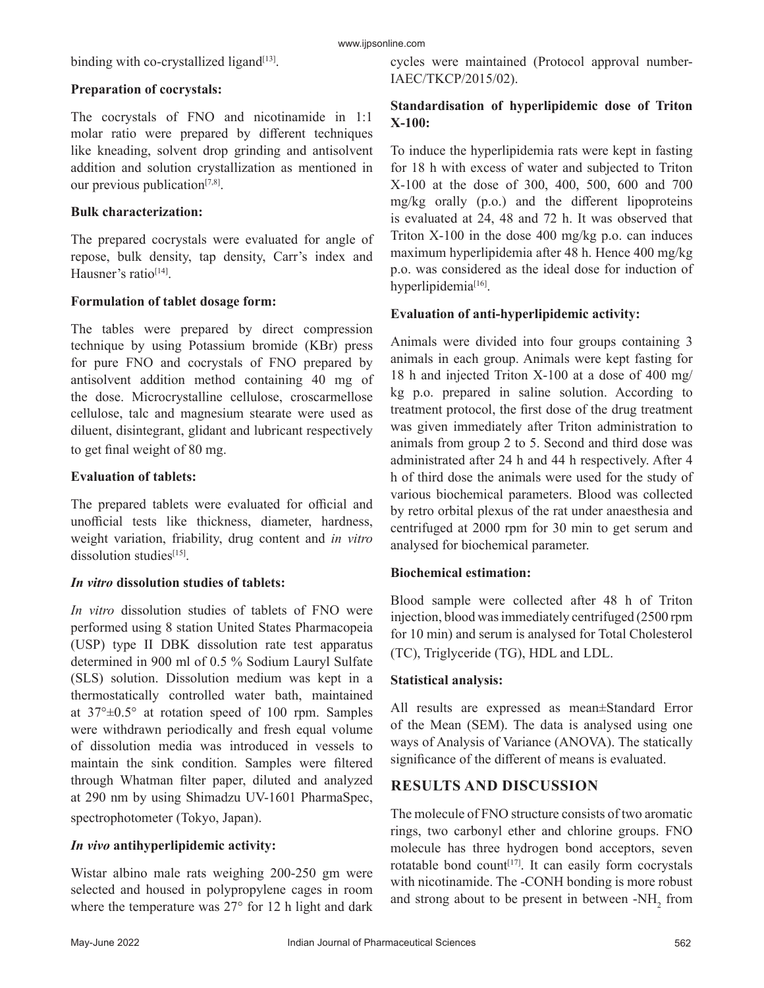binding with co-crystallized ligand $[13]$ .

# **Preparation of cocrystals:**

The cocrystals of FNO and nicotinamide in 1:1 molar ratio were prepared by different techniques like kneading, solvent drop grinding and antisolvent addition and solution crystallization as mentioned in our previous publication<sup>[7,8]</sup>.

#### **Bulk characterization:**

The prepared cocrystals were evaluated for angle of repose, bulk density, tap density, Carr's index and Hausner's ratio<sup>[14]</sup>.

#### **Formulation of tablet dosage form:**

The tables were prepared by direct compression technique by using Potassium bromide (KBr) press for pure FNO and cocrystals of FNO prepared by antisolvent addition method containing 40 mg of the dose. Microcrystalline cellulose, croscarmellose cellulose, talc and magnesium stearate were used as diluent, disintegrant, glidant and lubricant respectively to get final weight of 80 mg.

# **Evaluation of tablets:**

The prepared tablets were evaluated for official and unofficial tests like thickness, diameter, hardness, weight variation, friability, drug content and *in vitro* dissolution studies<sup>[15]</sup>.

#### *In vitro* **dissolution studies of tablets:**

*In vitro* dissolution studies of tablets of FNO were performed using 8 station United States Pharmacopeia (USP) type II DBK dissolution rate test apparatus determined in 900 ml of 0.5 % Sodium Lauryl Sulfate (SLS) solution. Dissolution medium was kept in a thermostatically controlled water bath, maintained at 37°±0.5° at rotation speed of 100 rpm. Samples were withdrawn periodically and fresh equal volume of dissolution media was introduced in vessels to maintain the sink condition. Samples were filtered through Whatman filter paper, diluted and analyzed at 290 nm by using Shimadzu UV-1601 PharmaSpec, spectrophotometer (Tokyo, Japan).

# *In vivo* **antihyperlipidemic activity:**

Wistar albino male rats weighing 200-250 gm were selected and housed in polypropylene cages in room where the temperature was 27° for 12 h light and dark cycles were maintained (Protocol approval number-IAEC/TKCP/2015/02).

#### **Standardisation of hyperlipidemic dose of Triton X-100:**

To induce the hyperlipidemia rats were kept in fasting for 18 h with excess of water and subjected to Triton X-100 at the dose of 300, 400, 500, 600 and 700 mg/kg orally (p.o.) and the different lipoproteins is evaluated at 24, 48 and 72 h. It was observed that Triton  $X-100$  in the dose 400 mg/kg p.o. can induces maximum hyperlipidemia after 48 h. Hence 400 mg/kg p.o. was considered as the ideal dose for induction of hyperlipidemia<sup>[16]</sup>.

#### **Evaluation of anti-hyperlipidemic activity:**

Animals were divided into four groups containing 3 animals in each group. Animals were kept fasting for 18 h and injected Triton X-100 at a dose of 400 mg/ kg p.o. prepared in saline solution. According to treatment protocol, the first dose of the drug treatment was given immediately after Triton administration to animals from group 2 to 5. Second and third dose was administrated after 24 h and 44 h respectively. After 4 h of third dose the animals were used for the study of various biochemical parameters. Blood was collected by retro orbital plexus of the rat under anaesthesia and centrifuged at 2000 rpm for 30 min to get serum and analysed for biochemical parameter.

# **Biochemical estimation:**

Blood sample were collected after 48 h of Triton injection, blood was immediately centrifuged (2500 rpm for 10 min) and serum is analysed for Total Cholesterol (TC), Triglyceride (TG), HDL and LDL.

#### **Statistical analysis:**

All results are expressed as mean±Standard Error of the Mean (SEM). The data is analysed using one ways of Analysis of Variance (ANOVA). The statically significance of the different of means is evaluated.

# **RESULTS AND DISCUSSION**

The molecule of FNO structure consists of two aromatic rings, two carbonyl ether and chlorine groups. FNO molecule has three hydrogen bond acceptors, seven rotatable bond count<sup>[17]</sup>. It can easily form cocrystals with nicotinamide. The -CONH bonding is more robust and strong about to be present in between - $NH_2$  from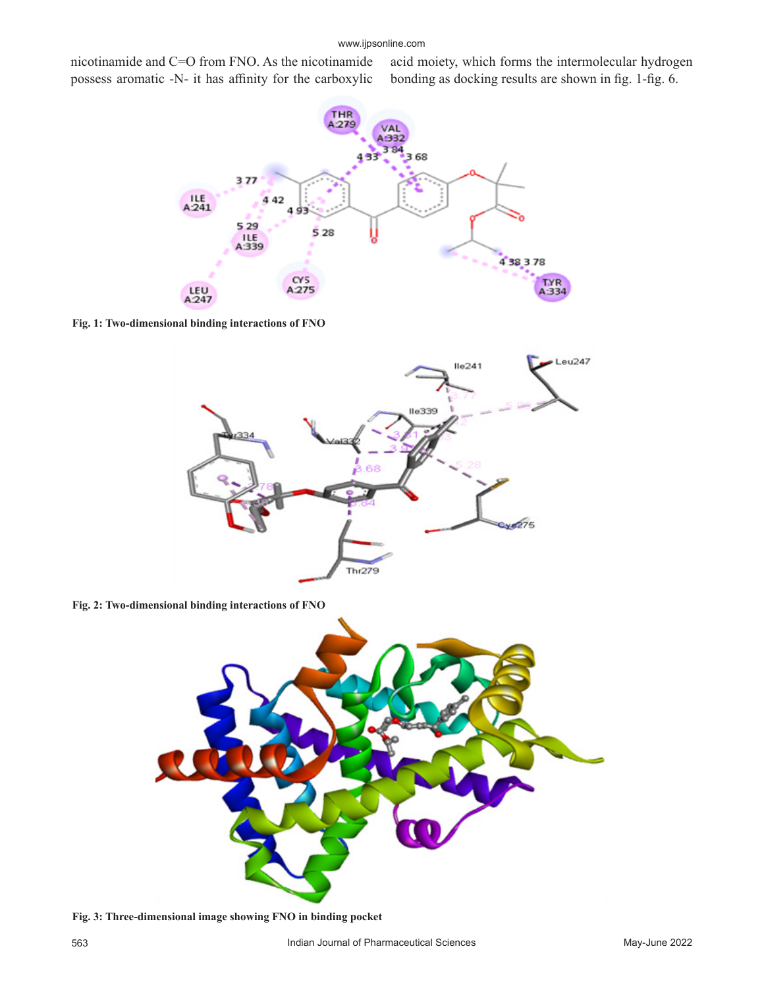#### www.ijpsonline.com

nicotinamide and C=O from FNO. As the nicotinamide possess aromatic -N- it has affinity for the carboxylic

acid moiety, which forms the intermolecular hydrogen bonding as docking results are shown in fig. 1-fig. 6.



**Fig. 1: Two-dimensional binding interactions of FNO**



**Fig. 2: Two-dimensional binding interactions of FNO**



**Fig. 3: Three-dimensional image showing FNO in binding pocket**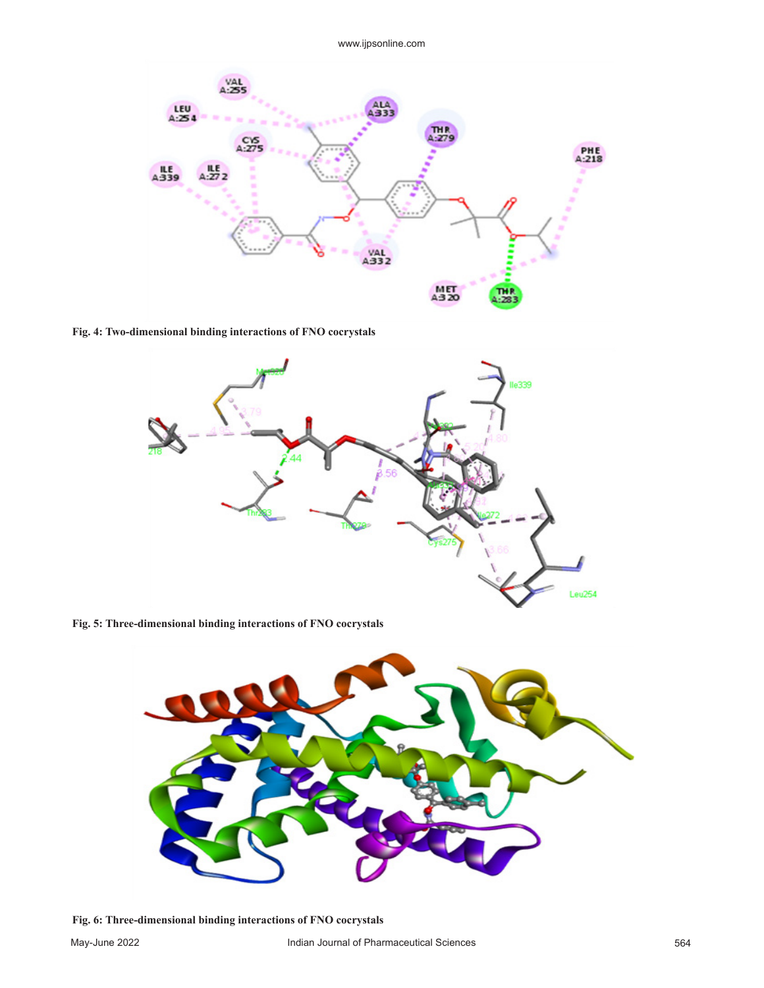

**Fig. 4: Two-dimensional binding interactions of FNO cocrystals** 



**Fig. 5: Three-dimensional binding interactions of FNO cocrystals**



**Fig. 6: Three-dimensional binding interactions of FNO cocrystals**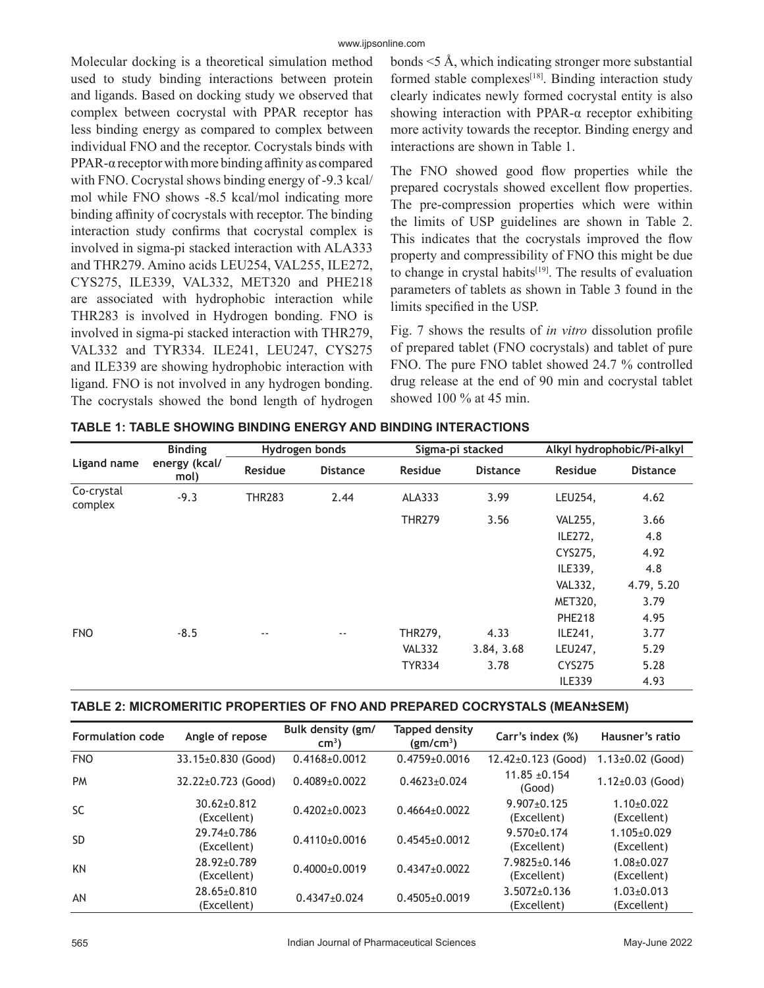Molecular docking is a theoretical simulation method used to study binding interactions between protein and ligands. Based on docking study we observed that complex between cocrystal with PPAR receptor has less binding energy as compared to complex between individual FNO and the receptor. Cocrystals binds with PPAR-α receptor with more binding affinity as compared with FNO. Cocrystal shows binding energy of -9.3 kcal/ mol while FNO shows -8.5 kcal/mol indicating more binding affinity of cocrystals with receptor. The binding interaction study confirms that cocrystal complex is involved in sigma-pi stacked interaction with ALA333 and THR279. Amino acids LEU254, VAL255, ILE272, CYS275, ILE339, VAL332, MET320 and PHE218 are associated with hydrophobic interaction while THR283 is involved in Hydrogen bonding. FNO is involved in sigma-pi stacked interaction with THR279, VAL332 and TYR334. ILE241, LEU247, CYS275 and ILE339 are showing hydrophobic interaction with ligand. FNO is not involved in any hydrogen bonding. The cocrystals showed the bond length of hydrogen bonds <5 Å, which indicating stronger more substantial formed stable complexes<sup>[18]</sup>. Binding interaction study clearly indicates newly formed cocrystal entity is also showing interaction with PPAR-α receptor exhibiting more activity towards the receptor. Binding energy and interactions are shown in Table 1.

The FNO showed good flow properties while the prepared cocrystals showed excellent flow properties. The pre-compression properties which were within the limits of USP guidelines are shown in Table 2. This indicates that the cocrystals improved the flow property and compressibility of FNO this might be due to change in crystal habits<sup>[19]</sup>. The results of evaluation parameters of tablets as shown in Table 3 found in the limits specified in the USP.

Fig. 7 shows the results of *in vitro* dissolution profile of prepared tablet (FNO cocrystals) and tablet of pure FNO. The pure FNO tablet showed 24.7 % controlled drug release at the end of 90 min and cocrystal tablet showed 100 % at 45 min.

|                       | <b>Binding</b><br>energy (kcal/<br>mol) | Hydrogen bonds |                 | Sigma-pi stacked |                 | Alkyl hydrophobic/Pi-alkyl |                 |
|-----------------------|-----------------------------------------|----------------|-----------------|------------------|-----------------|----------------------------|-----------------|
| Ligand name           |                                         | <b>Residue</b> | <b>Distance</b> | <b>Residue</b>   | <b>Distance</b> | <b>Residue</b>             | <b>Distance</b> |
| Co-crystal<br>complex | $-9.3$                                  | <b>THR283</b>  | 2.44            | ALA333           | 3.99            | LEU254,                    | 4.62            |
|                       |                                         |                |                 | <b>THR279</b>    | 3.56            | <b>VAL255,</b>             | 3.66            |
|                       |                                         |                |                 |                  |                 | ILE272,                    | 4.8             |
|                       |                                         |                |                 |                  |                 | CYS275,                    | 4.92            |
|                       |                                         |                |                 |                  |                 | ILE339,                    | 4.8             |
|                       |                                         |                |                 |                  |                 | <b>VAL332,</b>             | 4.79, 5.20      |
|                       |                                         |                |                 |                  |                 | MET320,                    | 3.79            |
|                       |                                         |                |                 |                  |                 | <b>PHE218</b>              | 4.95            |
| <b>FNO</b>            | $-8.5$                                  | $\sim$ $\sim$  | $- -$           | THR279,          | 4.33            | ILE241,                    | 3.77            |
|                       |                                         |                |                 | <b>VAL332</b>    | 3.84, 3.68      | LEU247,                    | 5.29            |
|                       |                                         |                |                 | <b>TYR334</b>    | 3.78            | <b>CYS275</b>              | 5.28            |
|                       |                                         |                |                 |                  |                 | <b>ILE339</b>              | 4.93            |

#### **TABLE 1: TABLE SHOWING BINDING ENERGY AND BINDING INTERACTIONS**

#### **TABLE 2: MICROMERITIC PROPERTIES OF FNO AND PREPARED COCRYSTALS (MEAN±SEM)**

| <b>Formulation code</b> | Angle of repose                  | Bulk density (gm/<br>$cm3$ ) | <b>Tapped density</b><br>(gm/cm <sup>3</sup> ) | Carr's index (%)                  | Hausner's ratio                  |
|-------------------------|----------------------------------|------------------------------|------------------------------------------------|-----------------------------------|----------------------------------|
| <b>FNO</b>              | 33.15±0.830 (Good)               | $0.4168 \pm 0.0012$          | $0.4759 \pm 0.0016$                            | $12.42 \pm 0.123$ (Good)          | $1.13\pm0.02$ (Good)             |
| <b>PM</b>               | $32.22 \pm 0.723$ (Good)         | $0.4089 + 0.0022$            | $0.4623 + 0.024$                               | $11.85 + 0.154$<br>(Good)         | $1.12\pm0.03$ (Good)             |
| <b>SC</b>               | $30.62 \pm 0.812$<br>(Excellent) | $0.4202 \pm 0.0023$          | $0.4664 + 0.0022$                              | $9.907 \pm 0.125$<br>(Excellent)  | $1.10+0.022$<br>(Excellent)      |
| <b>SD</b>               | 29.74±0.786<br>(Excellent)       | $0.4110+0.0016$              | $0.4545+0.0012$                                | $9.570 \pm 0.174$<br>(Excellent)  | $1.105 \pm 0.029$<br>(Excellent) |
| KN                      | 28.92±0.789<br>(Excellent)       | $0.4000 \pm 0.0019$          | $0.4347 \pm 0.0022$                            | $7.9825 \pm 0.146$<br>(Excellent) | $1.08 + 0.027$<br>(Excellent)    |
| AN                      | $28.65 \pm 0.810$<br>(Excellent) | $0.4347 \pm 0.024$           | $0.4505 + 0.0019$                              | $3.5072 \pm 0.136$<br>(Excellent) | $1.03 \pm 0.013$<br>(Excellent)  |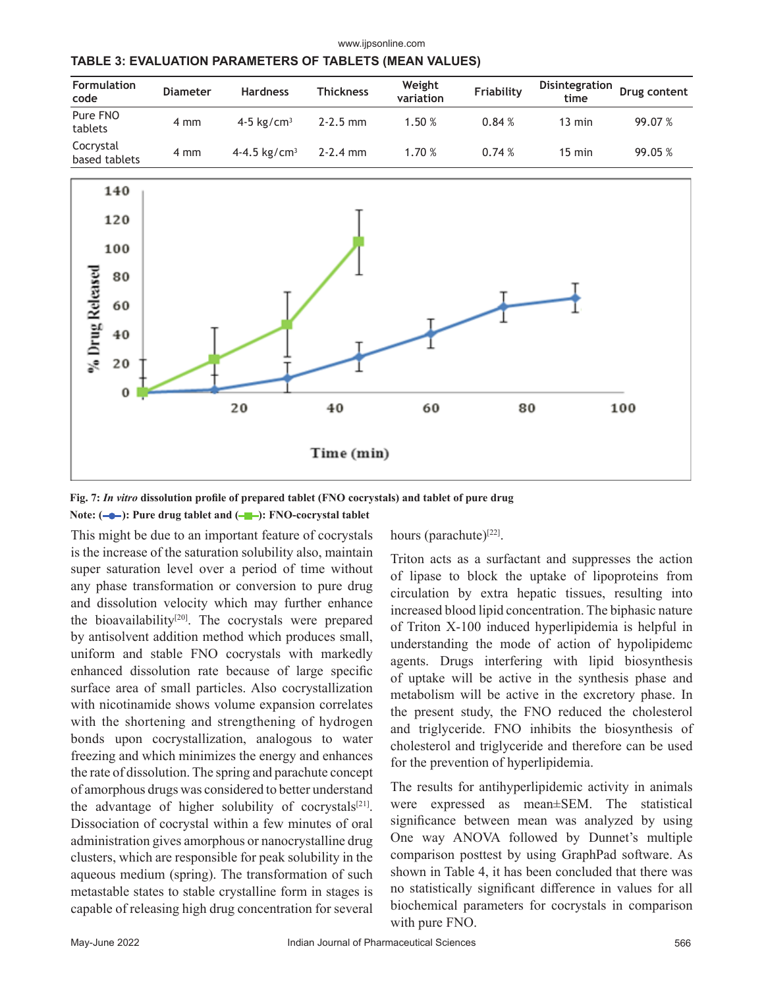www.ijpsonline.com

| <b>Formulation</b><br>code | <b>Diameter</b> | <b>Hardness</b>          | <b>Thickness</b> | Weight<br>variation | Friability | Disintegration<br>time | Drug content |
|----------------------------|-----------------|--------------------------|------------------|---------------------|------------|------------------------|--------------|
| Pure FNO<br>tablets        | 4 mm            | 4-5 kg/cm <sup>3</sup>   | $2 - 2.5$ mm     | 1.50 %              | 0.84%      | $13 \text{ min}$       | 99.07 %      |
| Cocrystal<br>based tablets | 4 mm            | 4-4.5 kg/cm <sup>3</sup> | $2 - 2.4$ mm     | 1.70 %              | 0.74%      | $15 \text{ min}$       | 99.05 %      |



**Fig. 7:** *In vitro* **dissolution profile of prepared tablet (FNO cocrystals) and tablet of pure drug** Note: (**-0**): Pure drug tablet and (-**1**): FNO-cocrystal tablet

This might be due to an important feature of cocrystals is the increase of the saturation solubility also, maintain super saturation level over a period of time without any phase transformation or conversion to pure drug and dissolution velocity which may further enhance the bioavailability<sup>[20]</sup>. The cocrystals were prepared by antisolvent addition method which produces small, uniform and stable FNO cocrystals with markedly enhanced dissolution rate because of large specific surface area of small particles. Also cocrystallization with nicotinamide shows volume expansion correlates with the shortening and strengthening of hydrogen bonds upon cocrystallization, analogous to water freezing and which minimizes the energy and enhances the rate of dissolution. The spring and parachute concept of amorphous drugs was considered to better understand the advantage of higher solubility of cocrystals $[21]$ . Dissociation of cocrystal within a few minutes of oral administration gives amorphous or nanocrystalline drug clusters, which are responsible for peak solubility in the aqueous medium (spring). The transformation of such metastable states to stable crystalline form in stages is capable of releasing high drug concentration for several

hours (parachute)<sup>[22]</sup>.

Triton acts as a surfactant and suppresses the action of lipase to block the uptake of lipoproteins from circulation by extra hepatic tissues, resulting into increased blood lipid concentration. The biphasic nature of Triton X-100 induced hyperlipidemia is helpful in understanding the mode of action of hypolipidemc agents. Drugs interfering with lipid biosynthesis of uptake will be active in the synthesis phase and metabolism will be active in the excretory phase. In the present study, the FNO reduced the cholesterol and triglyceride. FNO inhibits the biosynthesis of cholesterol and triglyceride and therefore can be used for the prevention of hyperlipidemia.

The results for antihyperlipidemic activity in animals were expressed as mean±SEM. The statistical significance between mean was analyzed by using One way ANOVA followed by Dunnet's multiple comparison posttest by using GraphPad software. As shown in Table 4, it has been concluded that there was no statistically significant difference in values for all biochemical parameters for cocrystals in comparison with pure FNO.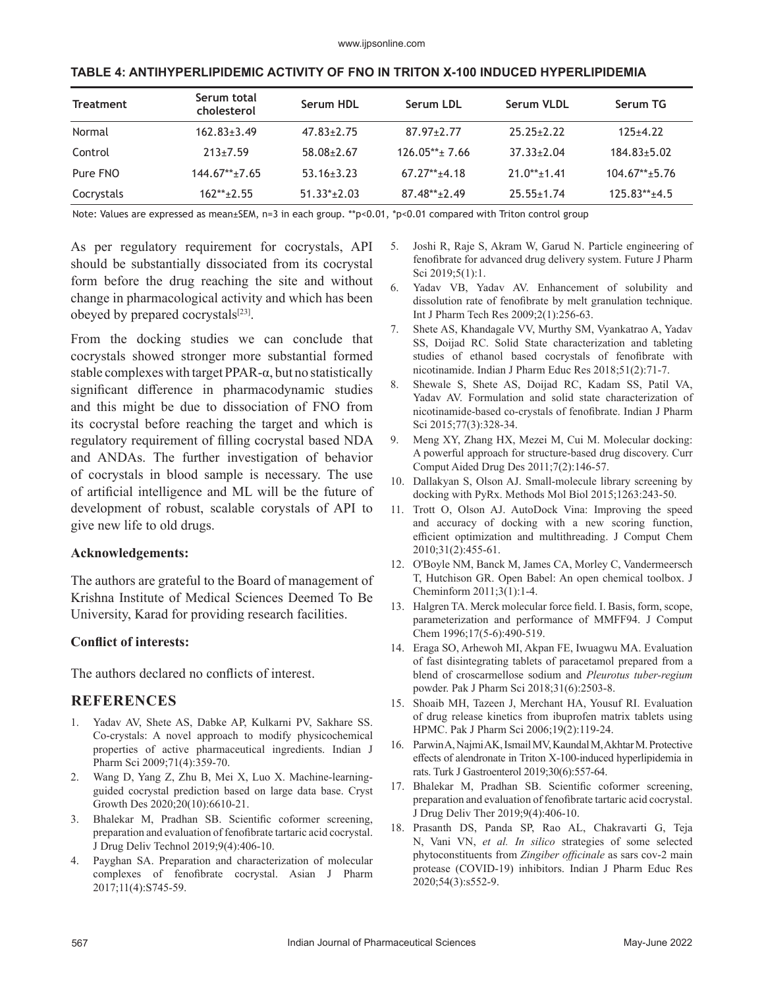| <b>Treatment</b> | Serum total<br>cholesterol | Serum HDL        | Serum LDL        | Serum VLDL         | Serum TG          |
|------------------|----------------------------|------------------|------------------|--------------------|-------------------|
| Normal           | $162.83 \pm 3.49$          | $47.83 \pm 2.75$ | $87.97 \pm 2.77$ | $25.25 \pm 2.22$   | $125+4.22$        |
| Control          | $213 \pm 7.59$             | $58.08 \pm 2.67$ | $126.05***$ 7.66 | $37.33 \pm 2.04$   | $184.83 \pm 5.02$ |
| Pure FNO         | $144.67**+7.65$            | $53.16 \pm 3.23$ | $67.27**+4.18$   | $21.0*** \pm 1.41$ | $104.67**+5.76$   |
| Cocrystals       | $162***+2.55$              | $51.33*+2.03$    | $87.48**+2.49$   | $25.55 \pm 1.74$   | $125.83***+4.5$   |

#### **TABLE 4: ANTIHYPERLIPIDEMIC ACTIVITY OF FNO IN TRITON X-100 INDUCED HYPERLIPIDEMIA**

Note: Values are expressed as mean±SEM, n=3 in each group. \*\*p<0.01, \*p<0.01 compared with Triton control group

As per regulatory requirement for cocrystals, API should be substantially dissociated from its cocrystal form before the drug reaching the site and without change in pharmacological activity and which has been obeyed by prepared cocrystals<sup>[23]</sup>.

From the docking studies we can conclude that cocrystals showed stronger more substantial formed stable complexes with target PPAR-α, but no statistically significant difference in pharmacodynamic studies and this might be due to dissociation of FNO from its cocrystal before reaching the target and which is regulatory requirement of filling cocrystal based NDA and ANDAs. The further investigation of behavior of cocrystals in blood sample is necessary. The use of artificial intelligence and ML will be the future of development of robust, scalable corystals of API to give new life to old drugs.

#### **Acknowledgements:**

The authors are grateful to the Board of management of Krishna Institute of Medical Sciences Deemed To Be University, Karad for providing research facilities.

#### **Conflict of interests:**

The authors declared no conflicts of interest.

#### **REFERENCES**

- 1. Yadav AV, Shete AS, Dabke AP, Kulkarni PV, Sakhare SS. [Co-crystals: A novel approach to modify physicochemical](https://www.ijpsonline.com/articles/cocrystals-a-novel-approach-to-modify-physicochemical-properties-of-active-pharmaceutical-ingredients.html)  [properties of active pharmaceutical ingredients.](https://www.ijpsonline.com/articles/cocrystals-a-novel-approach-to-modify-physicochemical-properties-of-active-pharmaceutical-ingredients.html) Indian J Pharm Sci 2009;71(4):359-70.
- 2. Wang D, Yang Z, Zhu B, Mei X, Luo X. [Machine-learning](https://pubs.acs.org/doi/10.1021/acs.cgd.0c00767)[guided cocrystal prediction based on large data base.](https://pubs.acs.org/doi/10.1021/acs.cgd.0c00767) Cryst Growth Des 2020;20(10):6610-21.
- 3. Bhalekar M, Pradhan SB. [Scientific coformer screening,](http://www.jddtonline.info/index.php/jddt/article/view/3199)  [preparation and evaluation of fenofibrate tartaric acid cocrystal.](http://www.jddtonline.info/index.php/jddt/article/view/3199) J Drug Deliv Technol 2019;9(4):406-10.
- 4. Payghan SA. [Preparation and characterization of molecular](https://www.asiapharmaceutics.info/index.php/ajp/article/view/1712)  [complexes of fenofibrate cocrystal.](https://www.asiapharmaceutics.info/index.php/ajp/article/view/1712) Asian J Pharm 2017;11(4):S745-59.
- 5. Joshi R, Raje S, Akram W, Garud N. [Particle engineering of](https://fjps.springeropen.com/articles/10.1186/s43094-019-0010-0) [fenofibrate for advanced drug delivery system.](https://fjps.springeropen.com/articles/10.1186/s43094-019-0010-0) Future J Pharm Sci 2019;5(1):1.
- 6. Yadav VB, Yadav AV. Enhancement of solubility and dissolution rate of fenofibrate by melt granulation technique. Int J Pharm Tech Res 2009;2(1):256-63.
- 7. Shete AS, Khandagale VV, Murthy SM, Vyankatrao A, Yadav SS, Doijad RC. [Solid State characterization and tableting](https://www.ijper.org/article/778) [studies of ethanol based cocrystals of fenofibrate with](https://www.ijper.org/article/778) [nicotinamide.](https://www.ijper.org/article/778) Indian J Pharm Educ Res 2018;51(2):71-7.
- 8. Shewale S, Shete AS, Doijad RC, Kadam SS, Patil VA, Yadav AV. [Formulation and solid state characterization of](https://www.ijpsonline.com/articles/formulation-and-solid-state-characterization-of-nicotinamidebased-cocrystals-of-fenofibrate.html) [nicotinamide-based co-crystals of fenofibrate.](https://www.ijpsonline.com/articles/formulation-and-solid-state-characterization-of-nicotinamidebased-cocrystals-of-fenofibrate.html) Indian J Pharm Sci 2015;77(3):328-34.
- 9. Meng XY, Zhang HX, Mezei M, Cui M. [Molecular docking:](http://www.eurekaselect.com/article/19093) [A powerful approach for structure-based drug discovery.](http://www.eurekaselect.com/article/19093) Curr Comput Aided Drug Des 2011;7(2):146-57.
- 10. Dallakyan S, Olson AJ. [Small-molecule library screening by](https://link.springer.com/protocol/10.1007/978-1-4939-2269-7_19) [docking with PyRx.](https://link.springer.com/protocol/10.1007/978-1-4939-2269-7_19) Methods Mol Biol 2015;1263:243-50.
- 11. Trott O, Olson AJ. [AutoDock Vina: Improving the speed](https://onlinelibrary.wiley.com/doi/10.1002/jcc.21334) [and accuracy of docking with a new scoring function,](https://onlinelibrary.wiley.com/doi/10.1002/jcc.21334) [efficient optimization and multithreading.](https://onlinelibrary.wiley.com/doi/10.1002/jcc.21334) J Comput Chem 2010;31(2):455-61.
- 12. O'Boyle NM, Banck M, James CA, Morley C, Vandermeersch T, Hutchison GR. [Open Babel: An open chemical toolbox.](https://jcheminf.biomedcentral.com/articles/10.1186/1758-2946-3-33) J Cheminform 2011;3(1):1-4.
- 13. Halgren TA. [Merck molecular force field. I. Basis, form, scope,](https://onlinelibrary.wiley.com/doi/10.1002/(SICI)1096-987X(199604)17:5/6%3C490::AID-JCC1%3E3.0.CO;2-P) [parameterization and performance of MMFF94.](https://onlinelibrary.wiley.com/doi/10.1002/(SICI)1096-987X(199604)17:5/6%3C490::AID-JCC1%3E3.0.CO;2-P) J Comput Chem 1996;17(5‐6):490-519.
- 14. Eraga SO, Arhewoh MI, Akpan FE, Iwuagwu MA. [Evaluation](https://pesquisa.bvsalud.org/portal/resource/pt/emr-205094) [of fast disintegrating tablets of paracetamol prepared from a](https://pesquisa.bvsalud.org/portal/resource/pt/emr-205094) [blend of croscarmellose sodium and](https://pesquisa.bvsalud.org/portal/resource/pt/emr-205094) *Pleurotus tuber-regium*  [powder.](https://pesquisa.bvsalud.org/portal/resource/pt/emr-205094) Pak J Pharm Sci 2018;31(6):2503-8.
- 15. Shoaib MH, Tazeen J, Merchant HA, Yousuf RI. [Evaluation](http://eprints.hud.ac.uk/id/eprint/19640/) [of drug release kinetics from ibuprofen matrix tablets using](http://eprints.hud.ac.uk/id/eprint/19640/) [HPMC.](http://eprints.hud.ac.uk/id/eprint/19640/) Pak J Pharm Sci 2006;19(2):119-24.
- 16. Parwin A, Najmi AK, Ismail MV, Kaundal M, Akhtar M. [Protective](https://www.turkjgastroenterol.org/en/protective-effects-of-alendronate-in-triton-x-100-induced-hyperlipidemia-in-rats-135704) [effects of alendronate in Triton X-100-induced hyperlipidemia in](https://www.turkjgastroenterol.org/en/protective-effects-of-alendronate-in-triton-x-100-induced-hyperlipidemia-in-rats-135704) [rats.](https://www.turkjgastroenterol.org/en/protective-effects-of-alendronate-in-triton-x-100-induced-hyperlipidemia-in-rats-135704) Turk J Gastroenterol 2019;30(6):557-64.
- 17. Bhalekar M, Pradhan SB. [Scientific coformer screening,](http://www.jddtonline.info/index.php/jddt/article/view/3199) [preparation and evaluation of fenofibrate tartaric acid cocrystal.](http://www.jddtonline.info/index.php/jddt/article/view/3199) J Drug Deliv Ther 2019;9(4):406-10.
- 18. Prasanth DS, Panda SP, Rao AL, Chakravarti G, Teja N, Vani VN, *et al. In silico* [strategies of some selected](https://www.ijper.org/article/1276) [phytoconstituents from](https://www.ijper.org/article/1276) *Zingiber officinale* as sars cov-2 main [protease \(COVID-19\) inhibitors.](https://www.ijper.org/article/1276) Indian J Pharm Educ Res 2020;54(3):s552-9.